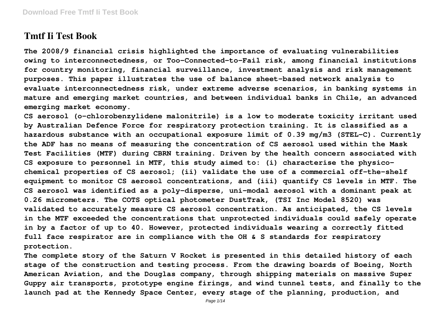# **Tmtf Ii Test Book**

**The 2008/9 financial crisis highlighted the importance of evaluating vulnerabilities owing to interconnectedness, or Too-Connected-to-Fail risk, among financial institutions for country monitoring, financial surveillance, investment analysis and risk management purposes. This paper illustrates the use of balance sheet-based network analysis to evaluate interconnectedness risk, under extreme adverse scenarios, in banking systems in mature and emerging market countries, and between individual banks in Chile, an advanced emerging market economy.**

**CS aerosol (o-chlorobenzylidene malonitrile) is a low to moderate toxicity irritant used by Australian Defence Force for respiratory protection training. It is classified as a hazardous substance with an occupational exposure limit of 0.39 mg/m3 (STEL-C). Currently the ADF has no means of measuring the concentration of CS aerosol used within the Mask Test Facilities (MTF) during CBRN training. Driven by the health concern associated with CS exposure to personnel in MTF, this study aimed to: (i) characterise the physicochemical properties of CS aerosol; (ii) validate the use of a commercial off-the-shelf equipment to monitor CS aerosol concentrations, and (iii) quantify CS levels in MTF. The CS aerosol was identified as a poly-disperse, uni-modal aerosol with a dominant peak at 0.26 micrometers. The COTS optical photometer DustTrak, (TSI Inc Model 8520) was validated to accurately measure CS aerosol concentration. As anticipated, the CS levels in the MTF exceeded the concentrations that unprotected individuals could safely operate in by a factor of up to 40. However, protected individuals wearing a correctly fitted full face respirator are in compliance with the OH & S standards for respiratory protection.**

**The complete story of the Saturn V Rocket is presented in this detailed history of each stage of the construction and testing process. From the drawing boards of Boeing, North American Aviation, and the Douglas company, through shipping materials on massive Super Guppy air transports, prototype engine firings, and wind tunnel tests, and finally to the launch pad at the Kennedy Space Center, every stage of the planning, production, and**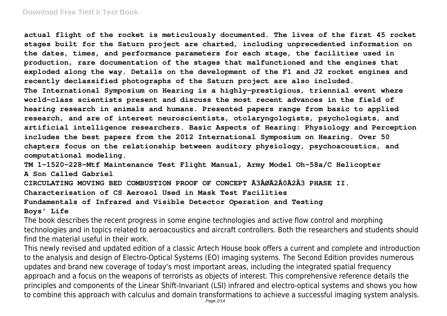#### **Download Free Tmtf Ii Test Book**

**actual flight of the rocket is meticulously documented. The lives of the first 45 rocket stages built for the Saturn project are charted, including unprecedented information on the dates, times, and performance parameters for each stage, the facilities used in production, rare documentation of the stages that malfunctioned and the engines that exploded along the way. Details on the development of the F1 and J2 rocket engines and recently declassified photographs of the Saturn project are also included. The International Symposium on Hearing is a highly-prestigious, triennial event where world-class scientists present and discuss the most recent advances in the field of hearing research in animals and humans. Presented papers range from basic to applied research, and are of interest neuroscientists, otolaryngologists, psychologists, and artificial intelligence researchers. Basic Aspects of Hearing: Physiology and Perception includes the best papers from the 2012 International Symposium on Hearing. Over 50 chapters focus on the relationship between auditory physiology, psychoacoustics, and computational modeling.**

**TM 1-1520-228-Mtf Maintenance Test Flight Manual, Army Model Oh-58a/C Helicopter A Son Called Gabriel**

**CIRCULATING MOVING BED COMBUSTION PROOF OF CONCEPT Ã3ÂØÃ2Â0Ã2Â3 PHASE II. Characterisation of CS Aerosol Used in Mask Test Facilities Fundamentals of Infrared and Visible Detector Operation and Testing**

#### **Boys' Life**

The book describes the recent progress in some engine technologies and active flow control and morphing technologies and in topics related to aeroacoustics and aircraft controllers. Both the researchers and students should find the material useful in their work.

This newly revised and updated edition of a classic Artech House book offers a current and complete and introduction to the analysis and design of Electro-Optical Systems (EO) imaging systems. The Second Edition provides numerous updates and brand new coverage of today's most important areas, including the integrated spatial frequency approach and a focus on the weapons of terrorists as objects of interest. This comprehensive reference details the principles and components of the Linear Shift-Invariant (LSI) infrared and electro-optical systems and shows you how to combine this approach with calculus and domain transformations to achieve a successful imaging system analysis.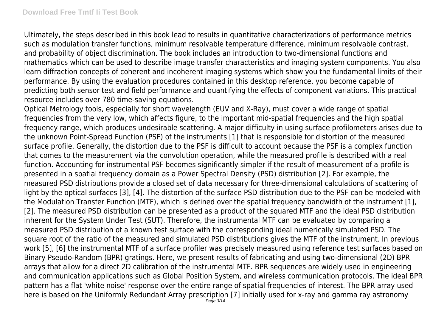Ultimately, the steps described in this book lead to results in quantitative characterizations of performance metrics such as modulation transfer functions, minimum resolvable temperature difference, minimum resolvable contrast, and probability of object discrimination. The book includes an introduction to two-dimensional functions and mathematics which can be used to describe image transfer characteristics and imaging system components. You also learn diffraction concepts of coherent and incoherent imaging systems which show you the fundamental limits of their performance. By using the evaluation procedures contained in this desktop reference, you become capable of predicting both sensor test and field performance and quantifying the effects of component variations. This practical resource includes over 780 time-saving equations.

Optical Metrology tools, especially for short wavelength (EUV and X-Ray), must cover a wide range of spatial frequencies from the very low, which affects figure, to the important mid-spatial frequencies and the high spatial frequency range, which produces undesirable scattering. A major difficulty in using surface profilometers arises due to the unknown Point-Spread Function (PSF) of the instruments [1] that is responsible for distortion of the measured surface profile. Generally, the distortion due to the PSF is difficult to account because the PSF is a complex function that comes to the measurement via the convolution operation, while the measured profile is described with a real function. Accounting for instrumental PSF becomes significantly simpler if the result of measurement of a profile is presented in a spatial frequency domain as a Power Spectral Density (PSD) distribution [2]. For example, the measured PSD distributions provide a closed set of data necessary for three-dimensional calculations of scattering of light by the optical surfaces [3], [4]. The distortion of the surface PSD distribution due to the PSF can be modeled with the Modulation Transfer Function (MTF), which is defined over the spatial frequency bandwidth of the instrument [1], [2]. The measured PSD distribution can be presented as a product of the squared MTF and the ideal PSD distribution inherent for the System Under Test (SUT). Therefore, the instrumental MTF can be evaluated by comparing a measured PSD distribution of a known test surface with the corresponding ideal numerically simulated PSD. The square root of the ratio of the measured and simulated PSD distributions gives the MTF of the instrument. In previous work [5], [6] the instrumental MTF of a surface profiler was precisely measured using reference test surfaces based on Binary Pseudo-Random (BPR) gratings. Here, we present results of fabricating and using two-dimensional (2D) BPR arrays that allow for a direct 2D calibration of the instrumental MTF. BPR sequences are widely used in engineering and communication applications such as Global Position System, and wireless communication protocols. The ideal BPR pattern has a flat 'white noise' response over the entire range of spatial frequencies of interest. The BPR array used here is based on the Uniformly Redundant Array prescription [7] initially used for x-ray and gamma ray astronomy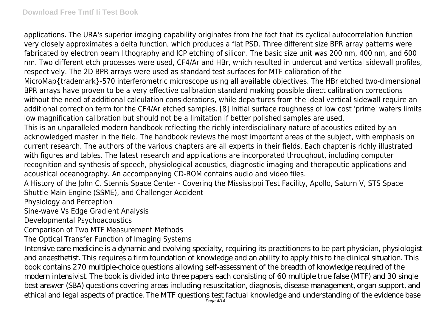applications. The URA's superior imaging capability originates from the fact that its cyclical autocorrelation function very closely approximates a delta function, which produces a flat PSD. Three different size BPR array patterns were fabricated by electron beam lithography and ICP etching of silicon. The basic size unit was 200 nm, 400 nm, and 600 nm. Two different etch processes were used, CF4/Ar and HBr, which resulted in undercut and vertical sidewall profiles, respectively. The 2D BPR arrays were used as standard test surfaces for MTF calibration of the MicroMap{trademark}-570 interferometric microscope using all available objectives. The HBr etched two-dimensional BPR arrays have proven to be a very effective calibration standard making possible direct calibration corrections without the need of additional calculation considerations, while departures from the ideal vertical sidewall require an additional correction term for the CF4/Ar etched samples. [8] Initial surface roughness of low cost 'prime' wafers limits low magnification calibration but should not be a limitation if better polished samples are used. This is an unparalleled modern handbook reflecting the richly interdisciplinary nature of acoustics edited by an acknowledged master in the field. The handbook reviews the most important areas of the subject, with emphasis on current research. The authors of the various chapters are all experts in their fields. Each chapter is richly illustrated with figures and tables. The latest research and applications are incorporated throughout, including computer recognition and synthesis of speech, physiological acoustics, diagnostic imaging and therapeutic applications and acoustical oceanography. An accompanying CD-ROM contains audio and video files.

A History of the John C. Stennis Space Center - Covering the Mississippi Test Facility, Apollo, Saturn V, STS Space Shuttle Main Engine (SSME), and Challenger Accident

Physiology and Perception

Sine-wave Vs Edge Gradient Analysis

Developmental Psychoacoustics

Comparison of Two MTF Measurement Methods

The Optical Transfer Function of Imaging Systems

Intensive care medicine is a dynamic and evolving specialty, requiring its practitioners to be part physician, physiologist and anaesthetist. This requires a firm foundation of knowledge and an ability to apply this to the clinical situation. This book contains 270 multiple-choice questions allowing self-assessment of the breadth of knowledge required of the modern intensivist. The book is divided into three papers each consisting of 60 multiple true false (MTF) and 30 single best answer (SBA) questions covering areas including resuscitation, diagnosis, disease management, organ support, and ethical and legal aspects of practice. The MTF questions test factual knowledge and understanding of the evidence base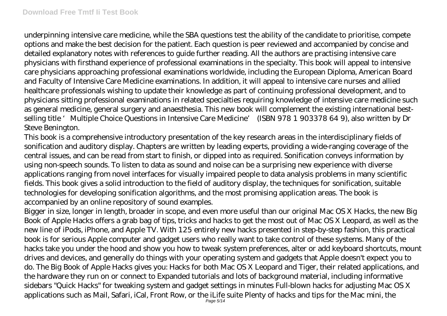underpinning intensive care medicine, while the SBA questions test the ability of the candidate to prioritise, compete options and make the best decision for the patient. Each question is peer reviewed and accompanied by concise and detailed explanatory notes with references to guide further reading. All the authors are practising intensive care physicians with firsthand experience of professional examinations in the specialty. This book will appeal to intensive care physicians approaching professional examinations worldwide, including the European Diploma, American Board and Faculty of Intensive Care Medicine examinations. In addition, it will appeal to intensive care nurses and allied healthcare professionals wishing to update their knowledge as part of continuing professional development, and to physicians sitting professional examinations in related specialties requiring knowledge of intensive care medicine such as general medicine, general surgery and anaesthesia. This new book will complement the existing international bestselling title 'Multiple Choice Questions in Intensive Care Medicine' (ISBN 978 1 903378 64 9), also written by Dr Steve Benington.

This book is a comprehensive introductory presentation of the key research areas in the interdisciplinary fields of sonification and auditory display. Chapters are written by leading experts, providing a wide-ranging coverage of the central issues, and can be read from start to finish, or dipped into as required. Sonification conveys information by using non-speech sounds. To listen to data as sound and noise can be a surprising new experience with diverse applications ranging from novel interfaces for visually impaired people to data analysis problems in many scientific fields. This book gives a solid introduction to the field of auditory display, the techniques for sonification, suitable technologies for developing sonification algorithms, and the most promising application areas. The book is accompanied by an online repository of sound examples.

Bigger in size, longer in length, broader in scope, and even more useful than our original Mac OS X Hacks, the new Big Book of Apple Hacks offers a grab bag of tips, tricks and hacks to get the most out of Mac OS X Leopard, as well as the new line of iPods, iPhone, and Apple TV. With 125 entirely new hacks presented in step-by-step fashion, this practical book is for serious Apple computer and gadget users who really want to take control of these systems. Many of the hacks take you under the hood and show you how to tweak system preferences, alter or add keyboard shortcuts, mount drives and devices, and generally do things with your operating system and gadgets that Apple doesn't expect you to do. The Big Book of Apple Hacks gives you: Hacks for both Mac OS X Leopard and Tiger, their related applications, and the hardware they run on or connect to Expanded tutorials and lots of background material, including informative sidebars "Quick Hacks" for tweaking system and gadget settings in minutes Full-blown hacks for adjusting Mac OS X applications such as Mail, Safari, iCal, Front Row, or the iLife suite Plenty of hacks and tips for the Mac mini, the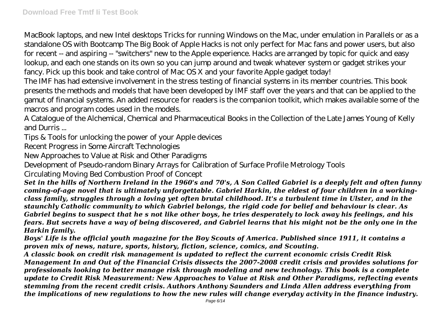MacBook laptops, and new Intel desktops Tricks for running Windows on the Mac, under emulation in Parallels or as a standalone OS with Bootcamp The Big Book of Apple Hacks is not only perfect for Mac fans and power users, but also for recent -- and aspiring -- "switchers" new to the Apple experience. Hacks are arranged by topic for quick and easy lookup, and each one stands on its own so you can jump around and tweak whatever system or gadget strikes your fancy. Pick up this book and take control of Mac OS X and your favorite Apple gadget today!

The IMF has had extensive involvement in the stress testing of financial systems in its member countries. This book presents the methods and models that have been developed by IMF staff over the years and that can be applied to the gamut of financial systems. An added resource for readers is the companion toolkit, which makes available some of the macros and program codes used in the models.

A Catalogue of the Alchemical, Chemical and Pharmaceutical Books in the Collection of the Late James Young of Kelly and Durris ...

Tips & Tools for unlocking the power of your Apple devices

Recent Progress in Some Aircraft Technologies

New Approaches to Value at Risk and Other Paradigms

Development of Pseudo-random Binary Arrays for Calibration of Surface Profile Metrology Tools

Circulating Moving Bed Combustion Proof of Concept

*Set in the hills of Northern Ireland in the 1960's and 70's, A Son Called Gabriel is a deeply felt and often funny coming-of-age novel that is ultimately unforgettable. Gabriel Harkin, the eldest of four children in a workingclass family, struggles through a loving yet often brutal childhood. It's a turbulent time in Ulster, and in the staunchly Catholic community to which Gabriel belongs, the rigid code for belief and behaviour is clear. As Gabriel begins to suspect that he s not like other boys, he tries desperately to lock away his feelings, and his fears. But secrets have a way of being discovered, and Gabriel learns that his might not be the only one in the Harkin family.*

*Boys' Life is the official youth magazine for the Boy Scouts of America. Published since 1911, it contains a proven mix of news, nature, sports, history, fiction, science, comics, and Scouting.*

*A classic book on credit risk management is updated to reflect the current economic crisis Credit Risk Management In and Out of the Financial Crisis dissects the 2007-2008 credit crisis and provides solutions for professionals looking to better manage risk through modeling and new technology. This book is a complete update to Credit Risk Measurement: New Approaches to Value at Risk and Other Paradigms, reflecting events stemming from the recent credit crisis. Authors Anthony Saunders and Linda Allen address everything from the implications of new regulations to how the new rules will change everyday activity in the finance industry.*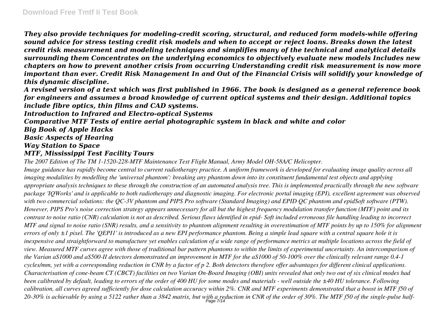*They also provide techniques for modeling-credit scoring, structural, and reduced form models-while offering sound advice for stress testing credit risk models and when to accept or reject loans. Breaks down the latest credit risk measurement and modeling techniques and simplifies many of the technical and analytical details surrounding them Concentrates on the underlying economics to objectively evaluate new models Includes new chapters on how to prevent another crisis from occurring Understanding credit risk measurement is now more important than ever. Credit Risk Management In and Out of the Financial Crisis will solidify your knowledge of this dynamic discipline.*

*A revised version of a text which was first published in 1966. The book is designed as a general reference book for engineers and assumes a broad knowledge of current optical systems and their design. Additional topics include fibre optics, thin films and CAD systems.*

*Introduction to Infrared and Electro-optical Systems*

*Comparative MTF Tests of entire aerial photographic system in black and white and color*

*Big Book of Apple Hacks*

*Basic Aspects of Hearing*

*Way Station to Space*

#### *MTF, Mississippi Test Facility Tours*

*The 2007 Edition of The TM 1-1520-228-MTF Maintenance Test Flight Manual, Army Model OH-58A/C Helicopter.*

*Image guidance has rapidly become central to current radiotherapy practice. A uniform framework is developed for evaluating image quality across all imaging modalities by modelling the 'universal phantom': breaking any phantom down into its constituent fundamental test objects and applying appropriate analysis techniques to these through the construction of an automated analysis tree. This is implemented practically through the new software package 'IQWorks' and is applicable to both radiotherapy and diagnostic imaging. For electronic portal imaging (EPI), excellent agreement was observed with two commercial solutions: the QC-3V phantom and PIPS Pro software (Standard Imaging) and EPID QC phantom and epidSoft software (PTW). However, PIPS Pro's noise correction strategy appears unnecessary for all but the highest frequency modulation transfer function (MTF) point and its contrast to noise ratio (CNR) calculation is not as described. Serious flaws identified in epid- Soft included erroneous file handling leading to incorrect MTF and signal to noise ratio (SNR) results, and a sensitivity to phantom alignment resulting in overestimation of MTF points by up to 150% for alignment errors of only ±1 pixel. The 'QEPI1' is introduced as a new EPI performance phantom. Being a simple lead square with a central square hole it is inexpensive and straightforward to manufacture yet enables calculation of a wide range of performance metrics at multiple locations across the field of view. Measured MTF curves agree with those of traditional bar pattern phantoms to within the limits of experimental uncertainty. An intercomparison of the Varian aS1000 and aS500-II detectors demonstrated an improvement in MTF for the aS1000 of 50-100% over the clinically relevant range 0.4-1 cycles/mm, yet with a corresponding reduction in CNR by a factor of p 2. Both detectors therefore offer advantages for different clinical applications. Characterisation of cone-beam CT (CBCT) facilities on two Varian On-Board Imaging (OBI) units revealed that only two out of six clinical modes had been calibrated by default, leading to errors of the order of 400 HU for some modes and materials - well outside the ±40 HU tolerance. Following calibration, all curves agreed sufficiently for dose calculation accuracy within 2%. CNR and MTF experiments demonstrated that a boost in MTF f50 of 20-30% is achievable by using a 5122 rather than a 3842 matrix, but with a reduction in CNR of the order of 30%. The MTF f50 of the single-pulse half-*Page 7/14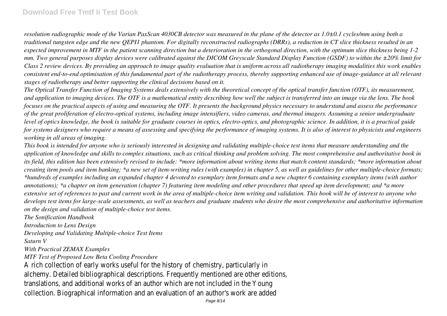### **Download Free Tmtf Ii Test Book**

*resolution radiographic mode of the Varian PaxScan 4030CB detector was measured in the plane of the detector as 1.0±0.1 cycles/mm using both a traditional tungsten edge and the new QEPI1 phantom. For digitally reconstructed radiographs (DRRs), a reduction in CT slice thickness resulted in an expected improvement in MTF in the patient scanning direction but a deterioration in the orthogonal direction, with the optimum slice thickness being 1-2 mm. Two general purposes display devices were calibrated against the DICOM Greyscale Standard Display Function (GSDF) to within the ±20% limit for Class 2 review devices. By providing an approach to image quality evaluation that is uniform across all radiotherapy imaging modalities this work enables consistent end-to-end optimisation of this fundamental part of the radiotherapy process, thereby supporting enhanced use of image-guidance at all relevant stages of radiotherapy and better supporting the clinical decisions based on it.*

*The Optical Transfer Function of Imaging Systems deals extensively with the theoretical concept of the optical transfer function (OTF), its measurement, and application to imaging devices. The OTF is a mathematical entity describing how well the subject is transferred into an image via the lens. The book focuses on the practical aspects of using and measuring the OTF. It presents the background physics necessary to understand and assess the performance of the great proliferation of electro-optical systems, including image intensifiers, video cameras, and thermal imagers. Assuming a senior undergraduate level of optics knowledge, the book is suitable for graduate courses in optics, electro-optics, and photographic science. In addition, it is a practical guide for systems designers who require a means of assessing and specifying the performance of imaging systems. It is also of interest to physicists and engineers working in all areas of imaging.*

*This book is intended for anyone who is seriously interested in designing and validating multiple-choice test items that measure understanding and the application of knowledge and skills to complex situations, such as critical thinking and problem solving. The most comprehensive and authoritative book in its field, this edition has been extensively revised to include: \*more information about writing items that match content standards; \*more information about creating item pools and item banking; \*a new set of item-writing rules (with examples) in chapter 5, as well as guidelines for other multiple-choice formats; \*hundreds of examples including an expanded chapter 4 devoted to exemplary item formats and a new chapter 6 containing exemplary items (with author annotations); \*a chapter on item generation (chapter 7) featuring item modeling and other procedures that speed up item development; and \*a more extensive set of references to past and current work in the area of multiple-choice item writing and validation. This book will be of interest to anyone who develops test items for large-scale assessments, as well as teachers and graduate students who desire the most comprehensive and authoritative information on the design and validation of multiple-choice test items.*

*The Sonification Handbook Introduction to Lens Design Developing and Validating Multiple-choice Test Items Saturn V With Practical ZEMAX Examples MTF Test of Proposed Low Beta Cooling Procedure* A rich collection of early works useful for the history of chemistry, particularly alchemy. Detailed bibliographical descriptions. Frequently mentioned are other edition translations, and additional works of an author which are not included in the You collection. Biographical information and an evaluation of an author's work are addentially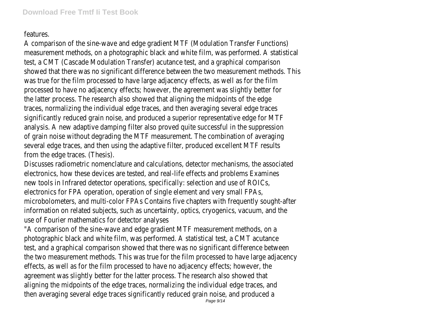## features.

A comparison of the sine-wave and edge gradient MTF (Modulation Transfer Functions) measurement methods, on a photographic black and white film, was performed. A statistic test, a CMT (Cascade Modulation Transfer) acutance test, and a graphical comparison showed that there was no significant difference between the two measurement methods. The was true for the film processed to have large adjacency effects, as well as for the fi processed to have no adjacency effects; however, the agreement was slightly better for the latter process. The research also showed that aligning the midpoints of the ede traces, normalizing the individual edge traces, and then averaging several edge trace significantly reduced grain noise, and produced a superior representative edge for MT analysis. A new adaptive damping filter also proved quite successful in the suppression of grain noise without degrading the MTF measurement. The combination of averaging several edge traces, and then using the adaptive filter, produced excellent MTF result from the edge traces. (Thesis).

Discusses radiometric nomenclature and calculations, detector mechanisms, the associate electronics, how these devices are tested, and real-life effects and problems Examine new tools in Infrared detector operations, specifically: selection and use of ROIC electronics for FPA operation, operation of single element and very small FPA microbolometers, and multi-color FPAs Contains five chapters with frequently sought-aft information on related subjects, such as uncertainty, optics, cryogenics, vacuum, and the use of Fourier mathematics for detector analyse

"A comparison of the sine-wave and edge gradient MTF measurement methods, on photographic black and white film, was performed. A statistical test, a CMT acutano test, and a graphical comparison showed that there was no significant difference betwe the two measurement methods. This was true for the film processed to have large adjacen effects, as well as for the film processed to have no adjacency effects; however, to agreement was slightly better for the latter process. The research also showed th aligning the midpoints of the edge traces, normalizing the individual edge traces, and then averaging several edge traces significantly reduced grain noise, and produced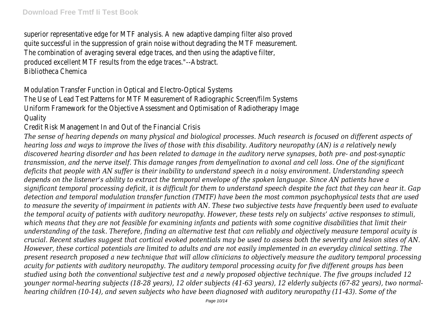superior representative edge for MTF analysis. A new adaptive damping filter also prove quite successful in the suppression of grain noise without degrading the MTF measurement The combination of averaging several edge traces, and then using the adaptive filter produced excellent MTF results from the edge traces."--Abstrac Bibliotheca Chemica

Modulation Transfer Function in Optical and Electro-Optical System

The Use of Lead Test Patterns for MTF Measurement of Radiographic Screen/film Systen Uniform Framework for the Objective Assessment and Optimisation of Radiotherapy Image **Quality** 

Credit Risk Management In and Out of the Financial Crisis

*The sense of hearing depends on many physical and biological processes. Much research is focused on different aspects of hearing loss and ways to improve the lives of those with this disability. Auditory neuropathy (AN) is a relatively newly discovered hearing disorder and has been related to damage in the auditory nerve synapses, both pre- and post-synaptic transmission, and the nerve itself. This damage ranges from demyelination to axonal and cell loss. One of the significant deficits that people with AN suffer is their inability to understand speech in a noisy environment. Understanding speech depends on the listener's ability to extract the temporal envelope of the spoken language. Since AN patients have a significant temporal processing deficit, it is difficult for them to understand speech despite the fact that they can hear it. Gap detection and temporal modulation transfer function (TMTF) have been the most common psychophysical tests that are used to measure the severity of impairment in patients with AN. These two subjective tests have frequently been used to evaluate the temporal acuity of patients with auditory neuropathy. However, these tests rely on subjects' active responses to stimuli, which means that they are not feasible for examining infants and patients with some cognitive disabilities that limit their understanding of the task. Therefore, finding an alternative test that can reliably and objectively measure temporal acuity is crucial. Recent studies suggest that cortical evoked potentials may be used to assess both the severity and lesion sites of AN. However, these cortical potentials are limited to adults and are not easily implemented in an everyday clinical setting. The present research proposed a new technique that will allow clinicians to objectively measure the auditory temporal processing acuity for patients with auditory neuropathy. The auditory temporal processing acuity for five different groups has been studied using both the conventional subjective test and a newly proposed objective technique. The five groups included 12 younger normal-hearing subjects (18-28 years), 12 older subjects (41-63 years), 12 elderly subjects (67-82 years), two normalhearing children (10-14), and seven subjects who have been diagnosed with auditory neuropathy (11-43). Some of the*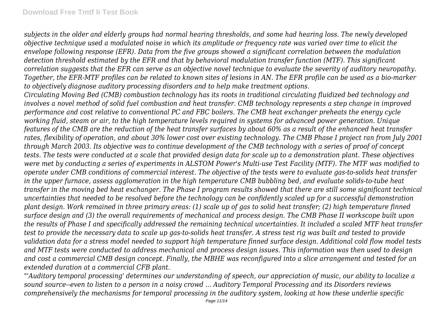*subjects in the older and elderly groups had normal hearing thresholds, and some had hearing loss. The newly developed objective technique used a modulated noise in which its amplitude or frequency rate was varied over time to elicit the envelope following response (EFR). Data from the five groups showed a significant correlation between the modulation detection threshold estimated by the EFR and that by behavioral modulation transfer function (MTF). This significant correlation suggests that the EFR can serve as an objective novel technique to evaluate the severity of auditory neuropathy. Together, the EFR-MTF profiles can be related to known sites of lesions in AN. The EFR profile can be used as a bio-marker to objectively diagnose auditory processing disorders and to help make treatment options.*

*Circulating Moving Bed (CMB) combustion technology has its roots in traditional circulating fluidized bed technology and involves a novel method of solid fuel combustion and heat transfer. CMB technology represents a step change in improved performance and cost relative to conventional PC and FBC boilers. The CMB heat exchanger preheats the energy cycle working fluid, steam or air, to the high temperature levels required in systems for advanced power generation. Unique features of the CMB are the reduction of the heat transfer surfaces by about 60% as a result of the enhanced heat transfer rates, flexibility of operation, and about 30% lower cost over existing technology. The CMB Phase I project ran from July 2001 through March 2003. Its objective was to continue development of the CMB technology with a series of proof of concept tests. The tests were conducted at a scale that provided design data for scale up to a demonstration plant. These objectives were met by conducting a series of experiments in ALSTOM Power's Multi-use Test Facility (MTF). The MTF was modified to operate under CMB conditions of commercial interest. The objective of the tests were to evaluate gas-to-solids heat transfer in the upper furnace, assess agglomeration in the high temperature CMB bubbling bed, and evaluate solids-to-tube heat transfer in the moving bed heat exchanger. The Phase I program results showed that there are still some significant technical uncertainties that needed to be resolved before the technology can be confidently scaled up for a successful demonstration plant design. Work remained in three primary areas: (1) scale up of gas to solid heat transfer; (2) high temperature finned surface design and (3) the overall requirements of mechanical and process design. The CMB Phase II workscope built upon the results of Phase I and specifically addressed the remaining technical uncertainties. It included a scaled MTF heat transfer test to provide the necessary data to scale up gas-to-solids heat transfer. A stress test rig was built and tested to provide validation data for a stress model needed to support high temperature finned surface design. Additional cold flow model tests and MTF tests were conducted to address mechanical and process design issues. This information was then used to design and cost a commercial CMB design concept. Finally, the MBHE was reconfigured into a slice arrangement and tested for an extended duration at a commercial CFB plant.*

*"'Auditory temporal processing' determines our understanding of speech, our appreciation of music, our ability to localize a sound source--even to listen to a person in a noisy crowd ... Auditory Temporal Processing and its Disorders reviews comprehensively the mechanisms for temporal processing in the auditory system, looking at how these underlie specific*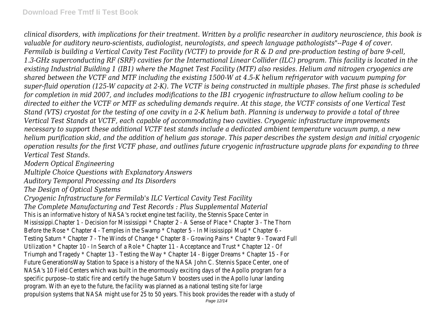*clinical disorders, with implications for their treatment. Written by a prolific researcher in auditory neuroscience, this book is valuable for auditory neuro-scientists, audiologist, neurologists, and speech language pathologists"--Page 4 of cover. Fermilab is building a Vertical Cavity Test Facility (VCTF) to provide for R & D and pre-production testing of bare 9-cell, 1.3-GHz superconducting RF (SRF) cavities for the International Linear Collider (ILC) program. This facility is located in the existing Industrial Building 1 (IB1) where the Magnet Test Facility (MTF) also resides. Helium and nitrogen cryogenics are shared between the VCTF and MTF including the existing 1500-W at 4.5-K helium refrigerator with vacuum pumping for super-fluid operation (125-W capacity at 2-K). The VCTF is being constructed in multiple phases. The first phase is scheduled for completion in mid 2007, and includes modifications to the IB1 cryogenic infrastructure to allow helium cooling to be directed to either the VCTF or MTF as scheduling demands require. At this stage, the VCTF consists of one Vertical Test Stand (VTS) cryostat for the testing of one cavity in a 2-K helium bath. Planning is underway to provide a total of three Vertical Test Stands at VCTF, each capable of accommodating two cavities. Cryogenic infrastructure improvements necessary to support these additional VCTF test stands include a dedicated ambient temperature vacuum pump, a new helium purification skid, and the addition of helium gas storage. This paper describes the system design and initial cryogenic operation results for the first VCTF phase, and outlines future cryogenic infrastructure upgrade plans for expanding to three Vertical Test Stands.*

*Modern Optical Engineering*

*Multiple Choice Questions with Explanatory Answers*

*Auditory Temporal Processing and Its Disorders*

*The Design of Optical Systems*

*Cryogenic Infrastructure for Fermilab's ILC Vertical Cavity Test Facility*

*The Complete Manufacturing and Test Records : Plus Supplemental Material*

This is an informative history of NASA's rocket engine test facility, the Stennis Space Center in Mississippi.Chapter 1 - Decision for Mississippi \* Chapter 2 - A Sense of Place \* Chapter 3 - The Thorn Before the Rose \* Chapter 4 - Temples in the Swamp \* Chapter 5 - In Mississippi Mud \* Chapter 6 -Testing Saturn \* Chapter 7 - The Winds of Change \* Chapter 8 - Growing Pains \* Chapter 9 - Toward Full Utilization \* Chapter 10 - In Search of a Role \* Chapter 11 - Acceptance and Trust \* Chapter 12 - Of Triumph and Tragedy \* Chapter 13 - Testing the Way \* Chapter 14 - Bigger Dreams \* Chapter 15 - For Future GenerationsWay Station to Space is a history of the NASA John C. Stennis Space Center, one of NASA's 10 Field Centers which was built in the enormously exciting days of the Apollo program for a specific purpose--to static fire and certify the huge Saturn V boosters used in the Apollo lunar landing program. With an eye to the future, the facility was planned as a national testing site for large propulsion systems that NASA might use for 25 to 50 years. This book provides the reader with a study of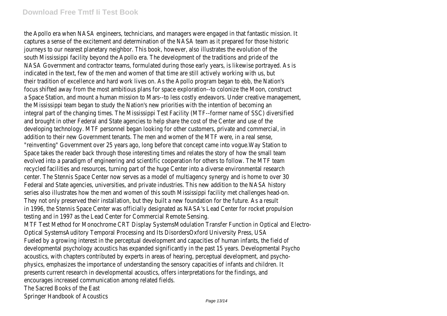### **Download Free Tmtf Ii Test Book**

the Apollo era when NASA engineers, technicians, and managers were engaged in that fantastic mission. It captures a sense of the excitement and determination of the NASA team as it prepared for those historic journeys to our nearest planetary neighbor. This book, however, also illustrates the evolution of the south Mississippi facility beyond the Apollo era. The development of the traditions and pride of the NASA Government and contractor teams, formulated during those early years, is likewise portrayed. As is indicated in the text, few of the men and women of that time are still actively working with us, but their tradition of excellence and hard work lives on. As the Apollo program began to ebb, the Nation's focus shifted away from the most ambitious plans for space exploration--to colonize the Moon, construct a Space Station, and mount a human mission to Mars--to less costly endeavors. Under creative management, the Mississippi team began to study the Nation's new priorities with the intention of becoming an integral part of the changing times. The Mississippi Test Facility (MTF--former name of SSC) diversified and brought in other Federal and State agencies to help share the cost of the Center and use of the developing technology. MTF personnel began looking for other customers, private and commercial, in addition to their new Government tenants. The men and women of the MTF were, in a real sense, "reinventing" Government over 25 years ago, long before that concept came into vogue.Way Station to Space takes the reader back through those interesting times and relates the story of how the small team evolved into a paradigm of engineering and scientific cooperation for others to follow. The MTF team recycled facilities and resources, turning part of the huge Center into a diverse environmental research center. The Stennis Space Center now serves as a model of multiagency synergy and is home to over 30 Federal and State agencies, universities, and private industries. This new addition to the NASA history series also illustrates how the men and women of this south Mississippi facility met challenges head-on. They not only preserved their installation, but they built a new foundation for the future. As a result in 1996, the Stennis Space Center was officially designated as NASA's Lead Center for rocket propulsion testing and in 1997 as the Lead Center for Commercial Remote Sensing. MTF Test Method for Monochrome CRT Display SystemsModulation Transfer Function in Optical and Electro-Optical SystemsAuditory Temporal Processing and Its DisordersOxford University Press, USA Fueled by a growing interest in the perceptual development and capacities of human infants, the field of developmental psychology acoustics has expanded significantly in the past 15 years. Developmental Psycho acoustics, with chapters contributed by experts in areas of hearing, perceptual development, and psychophysics, emphasizes the importance of understanding the sensory capacities of infants and children. It presents current research in developmental acoustics, offers interpretations for the findings, and encourages increased communication among related fields. The Sacred Books of the East Springer Handbook of Acoustics